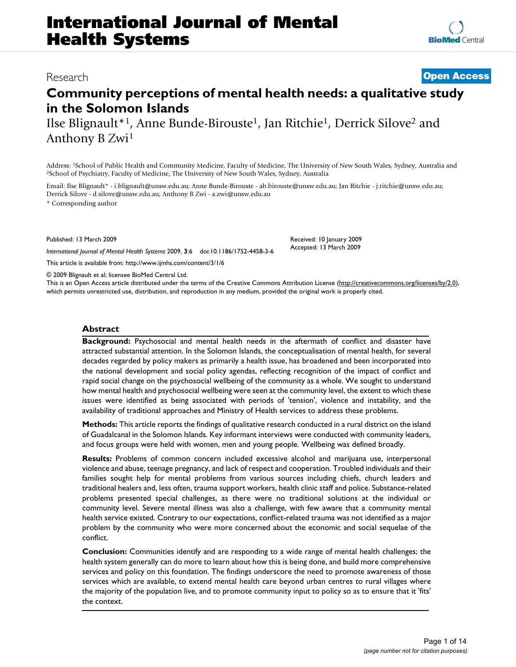# **International Journal of Mental Health Systems**

# **Community perceptions of mental health needs: a qualitative study in the Solomon Islands**

Ilse Blignault\*1, Anne Bunde-Birouste1, Jan Ritchie1, Derrick Silove2 and Anthony B Zwi1

Address: <sup>1</sup>School of Public Health and Community Medicine, Faculty of Medicine, The University of New South Wales, Sydney, Australia and <sup>2</sup>School of Psychiatry, Faculty of Medicine, The University of New South Wales, Syd

Email: Ilse Blignault\* - i.blignault@unsw.edu.au; Anne Bunde-Birouste - ab.birouste@unsw.edu.au; Jan Ritchie - j.ritchie@unsw.edu.au; Derrick Silove - d.silove@unsw.edu.au; Anthony B Zwi - a.zwi@unsw.edu.au

\* Corresponding author

Published: 13 March 2009

*International Journal of Mental Health Systems* 2009, **3**:6 doi:10.1186/1752-4458-3-6

[This article is available from: http://www.ijmhs.com/content/3/1/6](http://www.ijmhs.com/content/3/1/6)

© 2009 Blignault et al; licensee BioMed Central Ltd.

This is an Open Access article distributed under the terms of the Creative Commons Attribution License [\(http://creativecommons.org/licenses/by/2.0\)](http://creativecommons.org/licenses/by/2.0), which permits unrestricted use, distribution, and reproduction in any medium, provided the original work is properly cited.

#### **Abstract**

**Background:** Psychosocial and mental health needs in the aftermath of conflict and disaster have attracted substantial attention. In the Solomon Islands, the conceptualisation of mental health, for several decades regarded by policy makers as primarily a health issue, has broadened and been incorporated into the national development and social policy agendas, reflecting recognition of the impact of conflict and rapid social change on the psychosocial wellbeing of the community as a whole. We sought to understand how mental health and psychosocial wellbeing were seen at the community level, the extent to which these issues were identified as being associated with periods of 'tension', violence and instability, and the availability of traditional approaches and Ministry of Health services to address these problems.

**Methods:** This article reports the findings of qualitative research conducted in a rural district on the island of Guadalcanal in the Solomon Islands. Key informant interviews were conducted with community leaders, and focus groups were held with women, men and young people. Wellbeing was defined broadly.

**Results:** Problems of common concern included excessive alcohol and marijuana use, interpersonal violence and abuse, teenage pregnancy, and lack of respect and cooperation. Troubled individuals and their families sought help for mental problems from various sources including chiefs, church leaders and traditional healers and, less often, trauma support workers, health clinic staff and police. Substance-related problems presented special challenges, as there were no traditional solutions at the individual or community level. Severe mental illness was also a challenge, with few aware that a community mental health service existed. Contrary to our expectations, conflict-related trauma was not identified as a major problem by the community who were more concerned about the economic and social sequelae of the conflict.

**Conclusion:** Communities identify and are responding to a wide range of mental health challenges; the health system generally can do more to learn about how this is being done, and build more comprehensive services and policy on this foundation. The findings underscore the need to promote awareness of those services which are available, to extend mental health care beyond urban centres to rural villages where the majority of the population live, and to promote community input to policy so as to ensure that it 'fits' the context.

Received: 10 January 2009 Accepted: 13 March 2009

Research **[Open Access](http://www.biomedcentral.com/info/about/charter/)**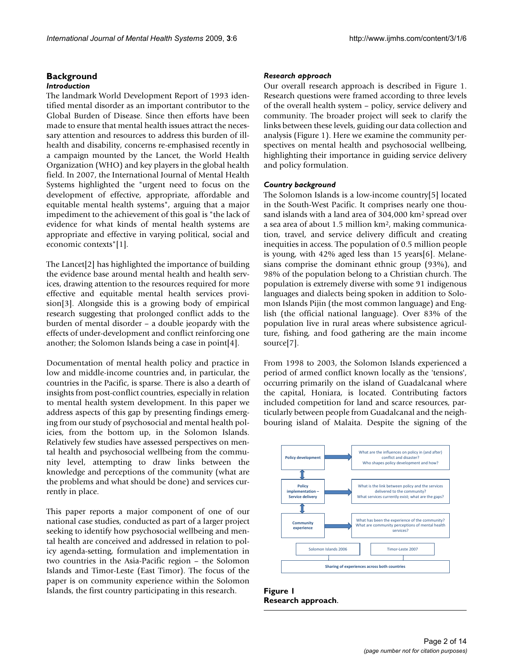# **Background**

#### *Introduction*

The landmark World Development Report of 1993 identified mental disorder as an important contributor to the Global Burden of Disease. Since then efforts have been made to ensure that mental health issues attract the necessary attention and resources to address this burden of illhealth and disability, concerns re-emphasised recently in a campaign mounted by the Lancet, the World Health Organization (WHO) and key players in the global health field. In 2007, the International Journal of Mental Health Systems highlighted the "urgent need to focus on the development of effective, appropriate, affordable and equitable mental health systems", arguing that a major impediment to the achievement of this goal is "the lack of evidence for what kinds of mental health systems are appropriate and effective in varying political, social and economic contexts"[1].

The Lancet[2] has highlighted the importance of building the evidence base around mental health and health services, drawing attention to the resources required for more effective and equitable mental health services provision[3]. Alongside this is a growing body of empirical research suggesting that prolonged conflict adds to the burden of mental disorder – a double jeopardy with the effects of under-development and conflict reinforcing one another; the Solomon Islands being a case in point[4].

Documentation of mental health policy and practice in low and middle-income countries and, in particular, the countries in the Pacific, is sparse. There is also a dearth of insights from post-conflict countries, especially in relation to mental health system development. In this paper we address aspects of this gap by presenting findings emerging from our study of psychosocial and mental health policies, from the bottom up, in the Solomon Islands. Relatively few studies have assessed perspectives on mental health and psychosocial wellbeing from the community level, attempting to draw links between the knowledge and perceptions of the community (what are the problems and what should be done) and services currently in place.

This paper reports a major component of one of our national case studies, conducted as part of a larger project seeking to identify how psychosocial wellbeing and mental health are conceived and addressed in relation to policy agenda-setting, formulation and implementation in two countries in the Asia-Pacific region – the Solomon Islands and Timor-Leste (East Timor). The focus of the paper is on community experience within the Solomon Islands, the first country participating in this research.

#### *Research approach*

Our overall research approach is described in Figure 1. Research questions were framed according to three levels of the overall health system – policy, service delivery and community. The broader project will seek to clarify the links between these levels, guiding our data collection and analysis (Figure 1). Here we examine the community perspectives on mental health and psychosocial wellbeing, highlighting their importance in guiding service delivery and policy formulation.

#### *Country background*

The Solomon Islands is a low-income country[5] located in the South-West Pacific. It comprises nearly one thousand islands with a land area of 304,000 km2 spread over a sea area of about 1.5 million km2, making communication, travel, and service delivery difficult and creating inequities in access. The population of 0.5 million people is young, with 42% aged less than 15 years[6]. Melanesians comprise the dominant ethnic group (93%), and 98% of the population belong to a Christian church. The population is extremely diverse with some 91 indigenous languages and dialects being spoken in addition to Solomon Islands Pijin (the most common language) and English (the official national language). Over 83% of the population live in rural areas where subsistence agriculture, fishing, and food gathering are the main income source[7].

From 1998 to 2003, the Solomon Islands experienced a period of armed conflict known locally as the 'tensions', occurring primarily on the island of Guadalcanal where the capital, Honiara, is located. Contributing factors included competition for land and scarce resources, particularly between people from Guadalcanal and the neighbouring island of Malaita. Despite the signing of the



**Figure 1 Research approach**.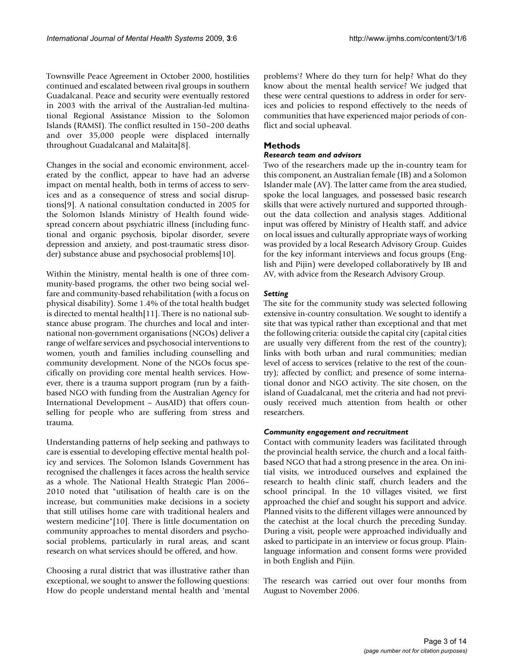Townsville Peace Agreement in October 2000, hostilities continued and escalated between rival groups in southern Guadalcanal. Peace and security were eventually restored in 2003 with the arrival of the Australian-led multinational Regional Assistance Mission to the Solomon Islands (RAMSI). The conflict resulted in 150–200 deaths and over 35,000 people were displaced internally throughout Guadalcanal and Malaita[8].

Changes in the social and economic environment, accelerated by the conflict, appear to have had an adverse impact on mental health, both in terms of access to services and as a consequence of stress and social disruptions[9]. A national consultation conducted in 2005 for the Solomon Islands Ministry of Health found widespread concern about psychiatric illness (including functional and organic psychosis, bipolar disorder, severe depression and anxiety, and post-traumatic stress disorder) substance abuse and psychosocial problems[10].

Within the Ministry, mental health is one of three community-based programs, the other two being social welfare and community-based rehabilitation (with a focus on physical disability). Some 1.4% of the total health budget is directed to mental health[11]. There is no national substance abuse program. The churches and local and international non-government organisations (NGOs) deliver a range of welfare services and psychosocial interventions to women, youth and families including counselling and community development. None of the NGOs focus specifically on providing core mental health services. However, there is a trauma support program (run by a faithbased NGO with funding from the Australian Agency for International Development – AusAID) that offers counselling for people who are suffering from stress and trauma.

Understanding patterns of help seeking and pathways to care is essential to developing effective mental health policy and services. The Solomon Islands Government has recognised the challenges it faces across the health service as a whole. The National Health Strategic Plan 2006– 2010 noted that "utilisation of health care is on the increase, but communities make decisions in a society that still utilises home care with traditional healers and western medicine"[10]. There is little documentation on community approaches to mental disorders and psychosocial problems, particularly in rural areas, and scant research on what services should be offered, and how.

Choosing a rural district that was illustrative rather than exceptional, we sought to answer the following questions: How do people understand mental health and 'mental problems'? Where do they turn for help? What do they know about the mental health service? We judged that these were central questions to address in order for services and policies to respond effectively to the needs of communities that have experienced major periods of conflict and social upheaval.

# **Methods**

### *Research team and advisors*

Two of the researchers made up the in-country team for this component, an Australian female (IB) and a Solomon Islander male (AV). The latter came from the area studied, spoke the local languages, and possessed basic research skills that were actively nurtured and supported throughout the data collection and analysis stages. Additional input was offered by Ministry of Health staff, and advice on local issues and culturally appropriate ways of working was provided by a local Research Advisory Group. Guides for the key informant interviews and focus groups (English and Pijin) were developed collaboratively by IB and AV, with advice from the Research Advisory Group.

#### *Setting*

The site for the community study was selected following extensive in-country consultation. We sought to identify a site that was typical rather than exceptional and that met the following criteria: outside the capital city (capital cities are usually very different from the rest of the country); links with both urban and rural communities; median level of access to services (relative to the rest of the country); affected by conflict; and presence of some international donor and NGO activity. The site chosen, on the island of Guadalcanal, met the criteria and had not previously received much attention from health or other researchers.

#### *Community engagement and recruitment*

Contact with community leaders was facilitated through the provincial health service, the church and a local faithbased NGO that had a strong presence in the area. On initial visits, we introduced ourselves and explained the research to health clinic staff, church leaders and the school principal. In the 10 villages visited, we first approached the chief and sought his support and advice. Planned visits to the different villages were announced by the catechist at the local church the preceding Sunday. During a visit, people were approached individually and asked to participate in an interview or focus group. Plainlanguage information and consent forms were provided in both English and Pijin.

The research was carried out over four months from August to November 2006.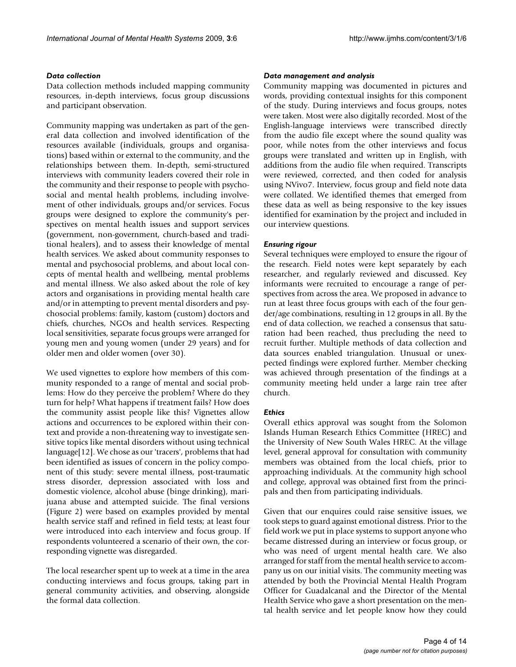#### *Data collection*

Data collection methods included mapping community resources, in-depth interviews, focus group discussions and participant observation.

Community mapping was undertaken as part of the general data collection and involved identification of the resources available (individuals, groups and organisations) based within or external to the community, and the relationships between them. In-depth, semi-structured interviews with community leaders covered their role in the community and their response to people with psychosocial and mental health problems, including involvement of other individuals, groups and/or services. Focus groups were designed to explore the community's perspectives on mental health issues and support services (government, non-government, church-based and traditional healers), and to assess their knowledge of mental health services. We asked about community responses to mental and psychosocial problems, and about local concepts of mental health and wellbeing, mental problems and mental illness. We also asked about the role of key actors and organisations in providing mental health care and/or in attempting to prevent mental disorders and psychosocial problems: family, kastom (custom) doctors and chiefs, churches, NGOs and health services. Respecting local sensitivities, separate focus groups were arranged for young men and young women (under 29 years) and for older men and older women (over 30).

We used vignettes to explore how members of this community responded to a range of mental and social problems: How do they perceive the problem? Where do they turn for help? What happens if treatment fails? How does the community assist people like this? Vignettes allow actions and occurrences to be explored within their context and provide a non-threatening way to investigate sensitive topics like mental disorders without using technical language[12]. We chose as our 'tracers', problems that had been identified as issues of concern in the policy component of this study: severe mental illness, post-traumatic stress disorder, depression associated with loss and domestic violence, alcohol abuse (binge drinking), marijuana abuse and attempted suicide. The final versions (Figure 2) were based on examples provided by mental health service staff and refined in field tests; at least four were introduced into each interview and focus group. If respondents volunteered a scenario of their own, the corresponding vignette was disregarded.

The local researcher spent up to week at a time in the area conducting interviews and focus groups, taking part in general community activities, and observing, alongside the formal data collection.

#### *Data management and analysis*

Community mapping was documented in pictures and words, providing contextual insights for this component of the study. During interviews and focus groups, notes were taken. Most were also digitally recorded. Most of the English-language interviews were transcribed directly from the audio file except where the sound quality was poor, while notes from the other interviews and focus groups were translated and written up in English, with additions from the audio file when required. Transcripts were reviewed, corrected, and then coded for analysis using NVivo7. Interview, focus group and field note data were collated. We identified themes that emerged from these data as well as being responsive to the key issues identified for examination by the project and included in our interview questions.

#### *Ensuring rigour*

Several techniques were employed to ensure the rigour of the research. Field notes were kept separately by each researcher, and regularly reviewed and discussed. Key informants were recruited to encourage a range of perspectives from across the area. We proposed in advance to run at least three focus groups with each of the four gender/age combinations, resulting in 12 groups in all. By the end of data collection, we reached a consensus that saturation had been reached, thus precluding the need to recruit further. Multiple methods of data collection and data sources enabled triangulation. Unusual or unexpected findings were explored further. Member checking was achieved through presentation of the findings at a community meeting held under a large rain tree after church.

#### *Ethics*

Overall ethics approval was sought from the Solomon Islands Human Research Ethics Committee (HREC) and the University of New South Wales HREC. At the village level, general approval for consultation with community members was obtained from the local chiefs, prior to approaching individuals. At the community high school and college, approval was obtained first from the principals and then from participating individuals.

Given that our enquires could raise sensitive issues, we took steps to guard against emotional distress. Prior to the field work we put in place systems to support anyone who became distressed during an interview or focus group, or who was need of urgent mental health care. We also arranged for staff from the mental health service to accompany us on our initial visits. The community meeting was attended by both the Provincial Mental Health Program Officer for Guadalcanal and the Director of the Mental Health Service who gave a short presentation on the mental health service and let people know how they could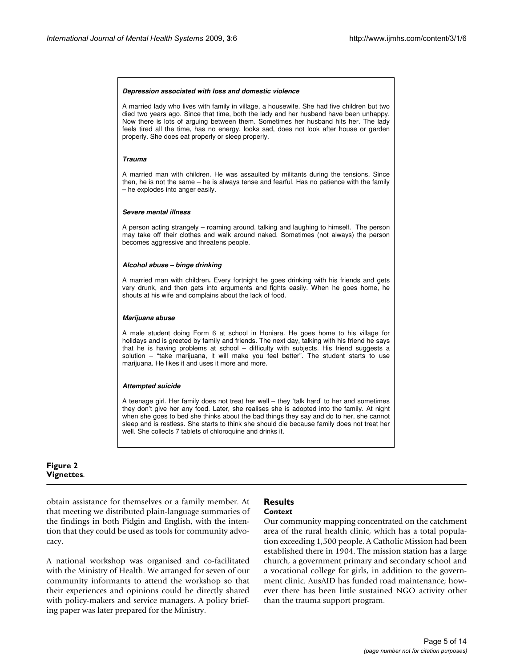#### *Depression associated with loss and domestic violence*

A married lady who lives with family in village, a housewife. She had five children but two died two years ago. Since that time, both the lady and her husband have been unhappy. Now there is lots of arguing between them. Sometimes her husband hits her. The lady feels tired all the time, has no energy, looks sad, does not look after house or garden properly. She does eat properly or sleep properly.

#### *Trauma*

A married man with children. He was assaulted by militants during the tensions. Since then, he is not the same – he is always tense and fearful. Has no patience with the family – he explodes into anger easily.

#### *Severe mental illness*

A person acting strangely – roaming around, talking and laughing to himself. The person may take off their clothes and walk around naked. Sometimes (not always) the person becomes aggressive and threatens people.

#### *Alcohol abuse – binge drinking*

A married man with children**.** Every fortnight he goes drinking with his friends and gets very drunk, and then gets into arguments and fights easily. When he goes home, he shouts at his wife and complains about the lack of food.

#### *Marijuana abuse*

A male student doing Form 6 at school in Honiara. He goes home to his village for holidays and is greeted by family and friends. The next day, talking with his friend he says that he is having problems at school – difficulty with subjects. His friend suggests a solution – "take marijuana, it will make you feel better". The student starts to use marijuana. He likes it and uses it more and more.

#### *Attempted suicide*

A teenage girl. Her family does not treat her well – they 'talk hard' to her and sometimes they don't give her any food. Later, she realises she is adopted into the family. At night when she goes to bed she thinks about the bad things they say and do to her, she cannot sleep and is restless. She starts to think she should die because family does not treat her well. She collects 7 tablets of chloroquine and drinks it.

#### **Figure 2 Vignettes**.

obtain assistance for themselves or a family member. At that meeting we distributed plain-language summaries of the findings in both Pidgin and English, with the intention that they could be used as tools for community advocacy.

A national workshop was organised and co-facilitated with the Ministry of Health. We arranged for seven of our community informants to attend the workshop so that their experiences and opinions could be directly shared with policy-makers and service managers. A policy briefing paper was later prepared for the Ministry.

#### **Results** *Context*

Our community mapping concentrated on the catchment area of the rural health clinic, which has a total population exceeding 1,500 people. A Catholic Mission had been established there in 1904. The mission station has a large church, a government primary and secondary school and a vocational college for girls, in addition to the government clinic. AusAID has funded road maintenance; however there has been little sustained NGO activity other than the trauma support program.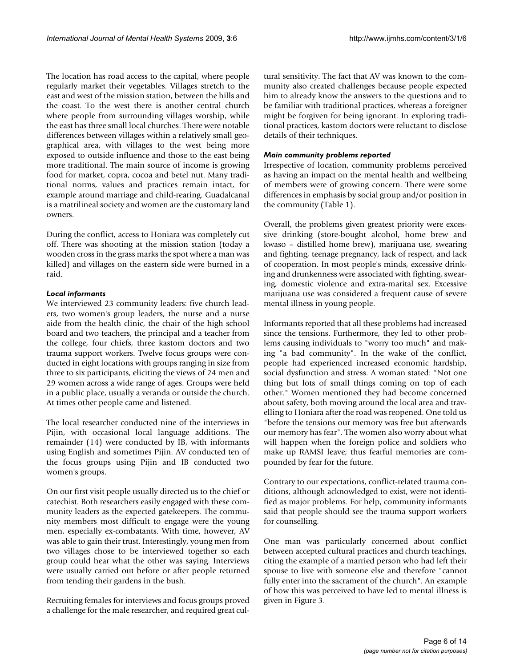The location has road access to the capital, where people regularly market their vegetables. Villages stretch to the east and west of the mission station, between the hills and the coast. To the west there is another central church where people from surrounding villages worship, while the east has three small local churches. There were notable differences between villages within a relatively small geographical area, with villages to the west being more exposed to outside influence and those to the east being more traditional. The main source of income is growing food for market, copra, cocoa and betel nut. Many traditional norms, values and practices remain intact, for example around marriage and child-rearing. Guadalcanal is a matrilineal society and women are the customary land owners.

During the conflict, access to Honiara was completely cut off. There was shooting at the mission station (today a wooden cross in the grass marks the spot where a man was killed) and villages on the eastern side were burned in a raid.

#### *Local informants*

We interviewed 23 community leaders: five church leaders, two women's group leaders, the nurse and a nurse aide from the health clinic, the chair of the high school board and two teachers, the principal and a teacher from the college, four chiefs, three kastom doctors and two trauma support workers. Twelve focus groups were conducted in eight locations with groups ranging in size from three to six participants, eliciting the views of 24 men and 29 women across a wide range of ages. Groups were held in a public place, usually a veranda or outside the church. At times other people came and listened.

The local researcher conducted nine of the interviews in Pijin, with occasional local language additions. The remainder (14) were conducted by IB, with informants using English and sometimes Pijin. AV conducted ten of the focus groups using Pijin and IB conducted two women's groups.

On our first visit people usually directed us to the chief or catechist. Both researchers easily engaged with these community leaders as the expected gatekeepers. The community members most difficult to engage were the young men, especially ex-combatants. With time, however, AV was able to gain their trust. Interestingly, young men from two villages chose to be interviewed together so each group could hear what the other was saying. Interviews were usually carried out before or after people returned from tending their gardens in the bush.

Recruiting females for interviews and focus groups proved a challenge for the male researcher, and required great cultural sensitivity. The fact that AV was known to the community also created challenges because people expected him to already know the answers to the questions and to be familiar with traditional practices, whereas a foreigner might be forgiven for being ignorant. In exploring traditional practices, kastom doctors were reluctant to disclose details of their techniques.

### *Main community problems reported*

Irrespective of location, community problems perceived as having an impact on the mental health and wellbeing of members were of growing concern. There were some differences in emphasis by social group and/or position in the community (Table 1).

Overall, the problems given greatest priority were excessive drinking (store-bought alcohol, home brew and kwaso – distilled home brew), marijuana use, swearing and fighting, teenage pregnancy, lack of respect, and lack of cooperation. In most people's minds, excessive drinking and drunkenness were associated with fighting, swearing, domestic violence and extra-marital sex. Excessive marijuana use was considered a frequent cause of severe mental illness in young people.

Informants reported that all these problems had increased since the tensions. Furthermore, they led to other problems causing individuals to "worry too much" and making "a bad community". In the wake of the conflict, people had experienced increased economic hardship, social dysfunction and stress. A woman stated: "Not one thing but lots of small things coming on top of each other." Women mentioned they had become concerned about safety, both moving around the local area and travelling to Honiara after the road was reopened. One told us "before the tensions our memory was free but afterwards our memory has fear". The women also worry about what will happen when the foreign police and soldiers who make up RAMSI leave; thus fearful memories are compounded by fear for the future.

Contrary to our expectations, conflict-related trauma conditions, although acknowledged to exist, were not identified as major problems. For help, community informants said that people should see the trauma support workers for counselling.

One man was particularly concerned about conflict between accepted cultural practices and church teachings, citing the example of a married person who had left their spouse to live with someone else and therefore "cannot fully enter into the sacrament of the church". An example of how this was perceived to have led to mental illness is given in Figure 3.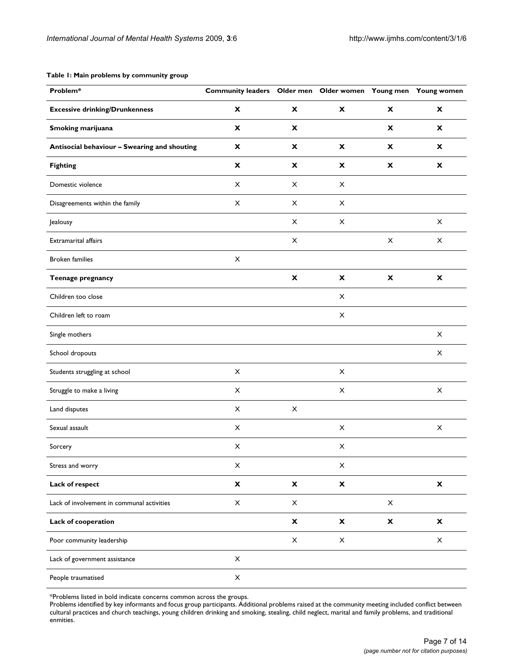#### **Table 1: Main problems by community group**

| Problem*                                     | Community leaders Older men Older women Young men Young women |                           |                           |                           |                           |
|----------------------------------------------|---------------------------------------------------------------|---------------------------|---------------------------|---------------------------|---------------------------|
| <b>Excessive drinking/Drunkenness</b>        | $\boldsymbol{\mathsf{x}}$                                     | X                         | X                         | X                         | $\boldsymbol{\mathsf{x}}$ |
| Smoking marijuana                            | X                                                             | X                         |                           | X                         | X                         |
| Antisocial behaviour - Swearing and shouting | $\pmb{\mathsf{x}}$                                            | X                         | $\pmb{\mathsf{x}}$        | X                         | $\boldsymbol{\mathsf{x}}$ |
| <b>Fighting</b>                              | $\boldsymbol{\mathsf{x}}$                                     | X                         | X                         | X                         | x                         |
| Domestic violence                            | X                                                             | X                         | X                         |                           |                           |
| Disagreements within the family              | $\mathsf X$                                                   | X                         | X                         |                           |                           |
| Jealousy                                     |                                                               | X                         | X                         |                           | X                         |
| Extramarital affairs                         |                                                               | X                         |                           | X                         | X                         |
| <b>Broken</b> families                       | X                                                             |                           |                           |                           |                           |
| Teenage pregnancy                            |                                                               | $\pmb{\mathsf{x}}$        | $\pmb{\mathsf{x}}$        | $\boldsymbol{\mathsf{x}}$ | $\boldsymbol{\mathsf{x}}$ |
| Children too close                           |                                                               |                           | X                         |                           |                           |
| Children left to roam                        |                                                               |                           | X                         |                           |                           |
| Single mothers                               |                                                               |                           |                           |                           | $\mathsf X$               |
| School dropouts                              |                                                               |                           |                           |                           | X                         |
| Students struggling at school                | X                                                             |                           | X                         |                           |                           |
| Struggle to make a living                    | X                                                             |                           | X                         |                           | X                         |
| Land disputes                                | X                                                             | X                         |                           |                           |                           |
| Sexual assault                               | X                                                             |                           | X                         |                           | X                         |
| Sorcery                                      | X                                                             |                           | X                         |                           |                           |
| Stress and worry                             | $\boldsymbol{\mathsf{X}}$                                     |                           | $\boldsymbol{\mathsf{X}}$ |                           |                           |
| Lack of respect                              | $\pmb{\mathsf{x}}$                                            | $\pmb{\mathsf{x}}$        | $\pmb{\mathsf{x}}$        |                           | $\pmb{\mathsf{x}}$        |
| Lack of involvement in communal activities   | $\mathsf X$                                                   | $\boldsymbol{\mathsf{X}}$ |                           | X                         |                           |
| Lack of cooperation                          |                                                               | $\pmb{\mathsf{x}}$        | $\pmb{\mathsf{x}}$        | $\pmb{\mathsf{x}}$        | $\pmb{\mathsf{x}}$        |
| Poor community leadership                    |                                                               | $\boldsymbol{\mathsf{X}}$ | $\mathsf X$               |                           | $\boldsymbol{\mathsf{X}}$ |
| Lack of government assistance                | $\boldsymbol{\mathsf{X}}$                                     |                           |                           |                           |                           |
| People traumatised                           | $\boldsymbol{\mathsf{X}}$                                     |                           |                           |                           |                           |

\*Problems listed in bold indicate concerns common across the groups.

Problems identified by key informants and focus group participants. Additional problems raised at the community meeting included conflict between cultural practices and church teachings, young children drinking and smoking, stealing, child neglect, marital and family problems, and traditional enmities.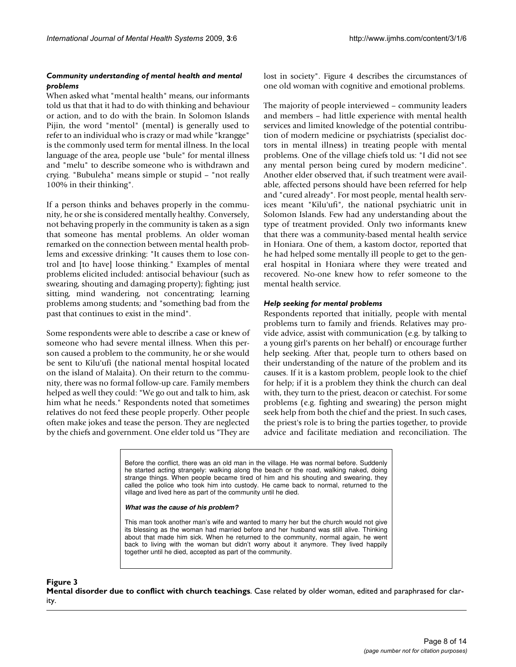### *Community understanding of mental health and mental problems*

When asked what "mental health" means, our informants told us that that it had to do with thinking and behaviour or action, and to do with the brain. In Solomon Islands Pijin, the word "mentol" (mental) is generally used to refer to an individual who is crazy or mad while "krangge" is the commonly used term for mental illness. In the local language of the area, people use "bule" for mental illness and "melu" to describe someone who is withdrawn and crying. "Bubuleha" means simple or stupid – "not really 100% in their thinking".

If a person thinks and behaves properly in the community, he or she is considered mentally healthy. Conversely, not behaving properly in the community is taken as a sign that someone has mental problems. An older woman remarked on the connection between mental health problems and excessive drinking: "It causes them to lose control and [to have] loose thinking." Examples of mental problems elicited included: antisocial behaviour (such as swearing, shouting and damaging property); fighting; just sitting, mind wandering, not concentrating; learning problems among students; and "something bad from the past that continues to exist in the mind".

Some respondents were able to describe a case or knew of someone who had severe mental illness. When this person caused a problem to the community, he or she would be sent to Kilu'ufi (the national mental hospital located on the island of Malaita). On their return to the community, there was no formal follow-up care. Family members helped as well they could: "We go out and talk to him, ask him what he needs." Respondents noted that sometimes relatives do not feed these people properly. Other people often make jokes and tease the person. They are neglected by the chiefs and government. One elder told us "They are lost in society". Figure 4 describes the circumstances of one old woman with cognitive and emotional problems.

The majority of people interviewed – community leaders and members – had little experience with mental health services and limited knowledge of the potential contribution of modern medicine or psychiatrists (specialist doctors in mental illness) in treating people with mental problems. One of the village chiefs told us: "I did not see any mental person being cured by modern medicine". Another elder observed that, if such treatment were available, affected persons should have been referred for help and "cured already". For most people, mental health services meant "Kilu'ufi", the national psychiatric unit in Solomon Islands. Few had any understanding about the type of treatment provided. Only two informants knew that there was a community-based mental health service in Honiara. One of them, a kastom doctor, reported that he had helped some mentally ill people to get to the general hospital in Honiara where they were treated and recovered. No-one knew how to refer someone to the mental health service.

#### *Help seeking for mental problems*

Respondents reported that initially, people with mental problems turn to family and friends. Relatives may provide advice, assist with communication (e.g. by talking to a young girl's parents on her behalf) or encourage further help seeking. After that, people turn to others based on their understanding of the nature of the problem and its causes. If it is a kastom problem, people look to the chief for help; if it is a problem they think the church can deal with, they turn to the priest, deacon or catechist. For some problems (e.g. fighting and swearing) the person might seek help from both the chief and the priest. In such cases, the priest's role is to bring the parties together, to provide advice and facilitate mediation and reconciliation. The

Before the conflict, there was an old man in the village. He was normal before. Suddenly he started acting strangely: walking along the beach or the road, walking naked, doing strange things. When people became tired of him and his shouting and swearing, they called the police who took him into custody. He came back to normal, returned to the village and lived here as part of the community until he died.

#### *What was the cause of his problem?*

This man took another man's wife and wanted to marry her but the church would not give its blessing as the woman had married before and her husband was still alive. Thinking about that made him sick. When he returned to the community, normal again, he went back to living with the woman but didn't worry about it anymore. They lived happily together until he died, accepted as part of the community.

**Figure 3 Mental disorder due to conflict with church teachings**. Case related by older woman, edited and paraphrased for clarity.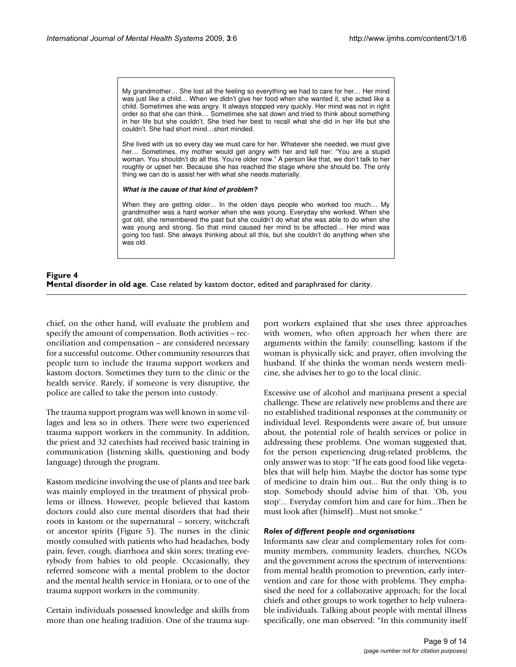My grandmother… She lost all the feeling so everything we had to care for her… Her mind was just like a child… When we didn't give her food when she wanted it, she acted like a child. Sometimes she was angry. It always stopped very quickly. Her mind was not in right order so that she can think… Sometimes she sat down and tried to think about something in her life but she couldn't. She tried her best to recall what she did in her life but she couldn't. She had short mind. short minded.

She lived with us so every day we must care for her. Whatever she needed, we must give her… Sometimes, my mother would get angry with her and tell her: "You are a stupid woman. You shouldn't do all this. You're older now." A person like that, we don't talk to her roughly or upset her. Because she has reached the stage where she should be. The only thing we can do is assist her with what she needs materially.

*What is the cause of that kind of problem?* 

When they are getting older... In the olden days people who worked too much… My grandmother was a hard worker when she was young. Everyday she worked. When she got old, she remembered the past but she couldn't do what she was able to do when she was young and strong. So that mind caused her mind to be affected… Her mind was going too fast. She always thinking about all this, but she couldn't do anything when she was old.

# **Figure 4 Mental disorder in old age**. Case related by kastom doctor, edited and paraphrased for clarity.

chief, on the other hand, will evaluate the problem and specify the amount of compensation. Both activities – reconciliation and compensation – are considered necessary for a successful outcome. Other community resources that people turn to include the trauma support workers and kastom doctors. Sometimes they turn to the clinic or the health service. Rarely, if someone is very disruptive, the police are called to take the person into custody.

The trauma support program was well known in some villages and less so in others. There were two experienced trauma support workers in the community. In addition, the priest and 32 catechists had received basic training in communication (listening skills, questioning and body language) through the program.

Kastom medicine involving the use of plants and tree bark was mainly employed in the treatment of physical problems or illness. However, people believed that kastom doctors could also cure mental disorders that had their roots in kastom or the supernatural – sorcery, witchcraft or ancestor spirits (Figure 5). The nurses in the clinic mostly consulted with patients who had headaches, body pain, fever, cough, diarrhoea and skin sores; treating everybody from babies to old people. Occasionally, they referred someone with a mental problem to the doctor and the mental health service in Honiara, or to one of the trauma support workers in the community.

Certain individuals possessed knowledge and skills from more than one healing tradition. One of the trauma support workers explained that she uses three approaches with women, who often approach her when there are arguments within the family: counselling; kastom if the woman is physically sick; and prayer, often involving the husband. If she thinks the woman needs western medicine, she advises her to go to the local clinic.

Excessive use of alcohol and marijuana present a special challenge. These are relatively new problems and there are no established traditional responses at the community or individual level. Respondents were aware of, but unsure about, the potential role of health services or police in addressing these problems. One woman suggested that, for the person experiencing drug-related problems, the only answer was to stop: "If he eats good food like vegetables that will help him. Maybe the doctor has some type of medicine to drain him out... But the only thing is to stop. Somebody should advise him of that. 'Oh, you stop'... Everyday comfort him and care for him...Then he must look after (himself)...Must not smoke."

#### *Roles of different people and organisations*

Informants saw clear and complementary roles for community members, community leaders, churches, NGOs and the government across the spectrum of interventions: from mental health promotion to prevention, early intervention and care for those with problems. They emphasised the need for a collaborative approach; for the local chiefs and other groups to work together to help vulnerable individuals. Talking about people with mental illness specifically, one man observed: "In this community itself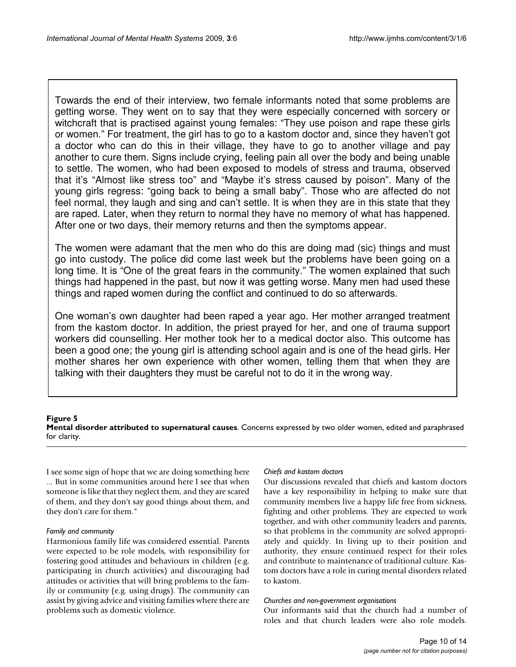Towards the end of their interview, two female informants noted that some problems are getting worse. They went on to say that they were especially concerned with sorcery or witchcraft that is practised against young females: "They use poison and rape these girls or women." For treatment, the girl has to go to a kastom doctor and, since they haven't got a doctor who can do this in their village, they have to go to another village and pay another to cure them. Signs include crying, feeling pain all over the body and being unable to settle. The women, who had been exposed to models of stress and trauma, observed that it's "Almost like stress too" and "Maybe it's stress caused by poison". Many of the young girls regress: "going back to being a small baby". Those who are affected do not feel normal, they laugh and sing and can't settle. It is when they are in this state that they are raped. Later, when they return to normal they have no memory of what has happened. After one or two days, their memory returns and then the symptoms appear.

The women were adamant that the men who do this are doing mad (sic) things and must go into custody. The police did come last week but the problems have been going on a long time. It is "One of the great fears in the community." The women explained that such things had happened in the past, but now it was getting worse. Many men had used these things and raped women during the conflict and continued to do so afterwards.

One woman's own daughter had been raped a year ago. Her mother arranged treatment from the kastom doctor. In addition, the priest prayed for her, and one of trauma support workers did counselling. Her mother took her to a medical doctor also. This outcome has been a good one; the young girl is attending school again and is one of the head girls. Her mother shares her own experience with other women, telling them that when they are talking with their daughters they must be careful not to do it in the wrong way.

# Figure 5

**Mental disorder attributed to supernatural causes**. Concerns expressed by two older women, edited and paraphrased for clarity.

I see some sign of hope that we are doing something here ... But in some communities around here I see that when someone is like that they neglect them, and they are scared of them, and they don't say good things about them, and they don't care for them."

#### *Family and community*

Harmonious family life was considered essential. Parents were expected to be role models, with responsibility for fostering good attitudes and behaviours in children (e.g. participating in church activities) and discouraging bad attitudes or activities that will bring problems to the family or community (e.g. using drugs). The community can assist by giving advice and visiting families where there are problems such as domestic violence.

#### *Chiefs and kastom doctors*

Our discussions revealed that chiefs and kastom doctors have a key responsibility in helping to make sure that community members live a happy life free from sickness, fighting and other problems. They are expected to work together, and with other community leaders and parents, so that problems in the community are solved appropriately and quickly. In living up to their position and authority, they ensure continued respect for their roles and contribute to maintenance of traditional culture. Kastom doctors have a role in curing mental disorders related to kastom.

#### *Churches and non-government organisations*

Our informants said that the church had a number of roles and that church leaders were also role models.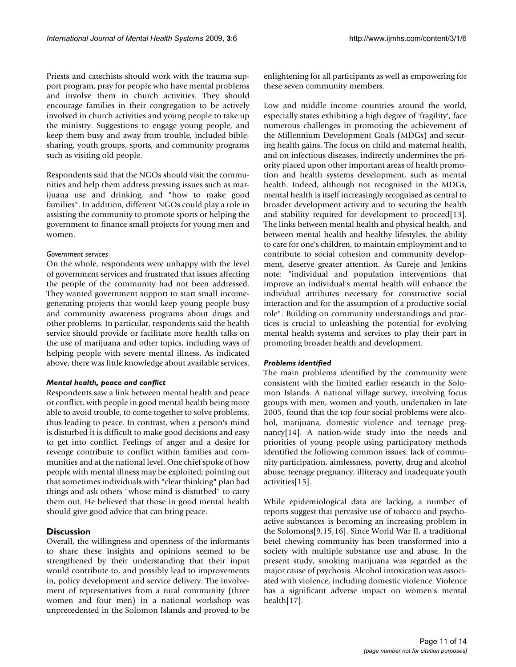Priests and catechists should work with the trauma support program, pray for people who have mental problems and involve them in church activities. They should encourage families in their congregation to be actively involved in church activities and young people to take up the ministry. Suggestions to engage young people, and keep them busy and away from trouble, included biblesharing, youth groups, sports, and community programs such as visiting old people.

Respondents said that the NGOs should visit the communities and help them address pressing issues such as marijuana use and drinking, and "how to make good families". In addition, different NGOs could play a role in assisting the community to promote sports or helping the government to finance small projects for young men and women.

#### *Government services*

On the whole, respondents were unhappy with the level of government services and frustrated that issues affecting the people of the community had not been addressed. They wanted government support to start small incomegenerating projects that would keep young people busy and community awareness programs about drugs and other problems. In particular, respondents said the health service should provide or facilitate more health talks on the use of marijuana and other topics, including ways of helping people with severe mental illness. As indicated above, there was little knowledge about available services.

# *Mental health, peace and conflict*

Respondents saw a link between mental health and peace or conflict, with people in good mental health being more able to avoid trouble, to come together to solve problems, thus leading to peace. In contrast, when a person's mind is disturbed it is difficult to make good decisions and easy to get into conflict. Feelings of anger and a desire for revenge contribute to conflict within families and communities and at the national level. One chief spoke of how people with mental illness may be exploited; pointing out that sometimes individuals with "clear thinking" plan bad things and ask others "whose mind is disturbed" to carry them out. He believed that those in good mental health should give good advice that can bring peace.

# **Discussion**

Overall, the willingness and openness of the informants to share these insights and opinions seemed to be strengthened by their understanding that their input would contribute to, and possibly lead to improvements in, policy development and service delivery. The involvement of representatives from a rural community (three women and four men) in a national workshop was unprecedented in the Solomon Islands and proved to be enlightening for all participants as well as empowering for these seven community members.

Low and middle income countries around the world, especially states exhibiting a high degree of 'fragility', face numerous challenges in promoting the achievement of the Millennium Development Goals (MDGs) and securing health gains. The focus on child and maternal health, and on infectious diseases, indirectly undermines the priority placed upon other important areas of health promotion and health systems development, such as mental health. Indeed, although not recognised in the MDGs, mental health is itself increasingly recognised as central to broader development activity and to securing the health and stability required for development to proceed[13]. The links between mental health and physical health, and between mental health and healthy lifestyles, the ability to care for one's children, to maintain employment and to contribute to social cohesion and community development, deserve greater attention. As Gureje and Jenkins note: "individual and population interventions that improve an individual's mental health will enhance the individual attributes necessary for constructive social interaction and for the assumption of a productive social role". Building on community understandings and practices is crucial to unleashing the potential for evolving mental health systems and services to play their part in promoting broader health and development.

# *Problems identified*

The main problems identified by the community were consistent with the limited earlier research in the Solomon Islands. A national village survey, involving focus groups with men, women and youth, undertaken in late 2005, found that the top four social problems were alcohol, marijuana, domestic violence and teenage pregnancy[14]. A nation-wide study into the needs and priorities of young people using participatory methods identified the following common issues: lack of community participation, aimlessness, poverty, drug and alcohol abuse, teenage pregnancy, illiteracy and inadequate youth activities[15].

While epidemiological data are lacking, a number of reports suggest that pervasive use of tobacco and psychoactive substances is becoming an increasing problem in the Solomons[9,15,16]. Since World War II, a traditional betel chewing community has been transformed into a society with multiple substance use and abuse. In the present study, smoking marijuana was regarded as the major cause of psychosis. Alcohol intoxication was associated with violence, including domestic violence. Violence has a significant adverse impact on women's mental health[17].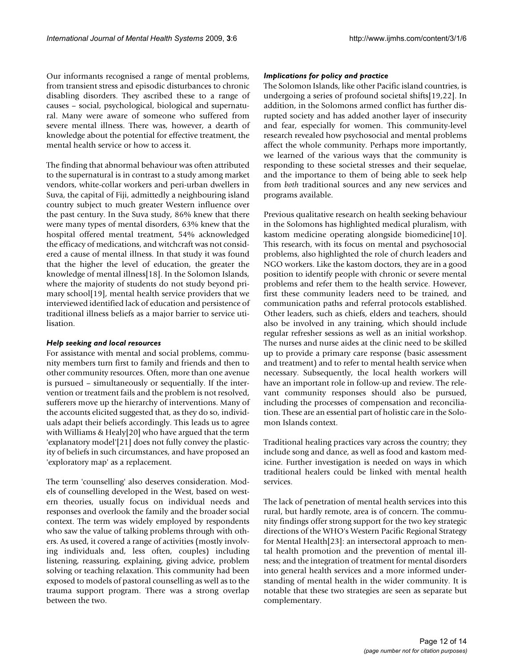Our informants recognised a range of mental problems, from transient stress and episodic disturbances to chronic disabling disorders. They ascribed these to a range of causes – social, psychological, biological and supernatural. Many were aware of someone who suffered from severe mental illness. There was, however, a dearth of knowledge about the potential for effective treatment, the mental health service or how to access it.

The finding that abnormal behaviour was often attributed to the supernatural is in contrast to a study among market vendors, white-collar workers and peri-urban dwellers in Suva, the capital of Fiji, admittedly a neighbouring island country subject to much greater Western influence over the past century. In the Suva study, 86% knew that there were many types of mental disorders, 63% knew that the hospital offered mental treatment, 54% acknowledged the efficacy of medications, and witchcraft was not considered a cause of mental illness. In that study it was found that the higher the level of education, the greater the knowledge of mental illness[18]. In the Solomon Islands, where the majority of students do not study beyond primary school[19], mental health service providers that we interviewed identified lack of education and persistence of traditional illness beliefs as a major barrier to service utilisation.

# *Help seeking and local resources*

For assistance with mental and social problems, community members turn first to family and friends and then to other community resources. Often, more than one avenue is pursued – simultaneously or sequentially. If the intervention or treatment fails and the problem is not resolved, sufferers move up the hierarchy of interventions. Many of the accounts elicited suggested that, as they do so, individuals adapt their beliefs accordingly. This leads us to agree with Williams & Healy[20] who have argued that the term 'explanatory model'[21] does not fully convey the plasticity of beliefs in such circumstances, and have proposed an 'exploratory map' as a replacement.

The term 'counselling' also deserves consideration. Models of counselling developed in the West, based on western theories, usually focus on individual needs and responses and overlook the family and the broader social context. The term was widely employed by respondents who saw the value of talking problems through with others. As used, it covered a range of activities (mostly involving individuals and, less often, couples) including listening, reassuring, explaining, giving advice, problem solving or teaching relaxation. This community had been exposed to models of pastoral counselling as well as to the trauma support program. There was a strong overlap between the two.

# *Implications for policy and practice*

The Solomon Islands, like other Pacific island countries, is undergoing a series of profound societal shifts[19,22]. In addition, in the Solomons armed conflict has further disrupted society and has added another layer of insecurity and fear, especially for women. This community-level research revealed how psychosocial and mental problems affect the whole community. Perhaps more importantly, we learned of the various ways that the community is responding to these societal stresses and their sequelae, and the importance to them of being able to seek help from *both* traditional sources and any new services and programs available.

Previous qualitative research on health seeking behaviour in the Solomons has highlighted medical pluralism, with kastom medicine operating alongside biomedicine[10]. This research, with its focus on mental and psychosocial problems, also highlighted the role of church leaders and NGO workers. Like the kastom doctors, they are in a good position to identify people with chronic or severe mental problems and refer them to the health service. However, first these community leaders need to be trained, and communication paths and referral protocols established. Other leaders, such as chiefs, elders and teachers, should also be involved in any training, which should include regular refresher sessions as well as an initial workshop. The nurses and nurse aides at the clinic need to be skilled up to provide a primary care response (basic assessment and treatment) and to refer to mental health service when necessary. Subsequently, the local health workers will have an important role in follow-up and review. The relevant community responses should also be pursued, including the processes of compensation and reconciliation. These are an essential part of holistic care in the Solomon Islands context.

Traditional healing practices vary across the country; they include song and dance, as well as food and kastom medicine. Further investigation is needed on ways in which traditional healers could be linked with mental health services.

The lack of penetration of mental health services into this rural, but hardly remote, area is of concern. The community findings offer strong support for the two key strategic directions of the WHO's Western Pacific Regional Strategy for Mental Health[23]: an intersectoral approach to mental health promotion and the prevention of mental illness; and the integration of treatment for mental disorders into general health services and a more informed understanding of mental health in the wider community. It is notable that these two strategies are seen as separate but complementary.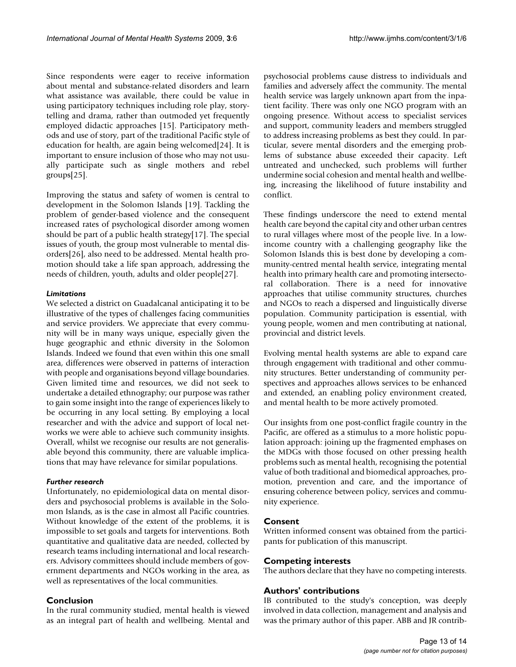Since respondents were eager to receive information about mental and substance-related disorders and learn what assistance was available, there could be value in using participatory techniques including role play, storytelling and drama, rather than outmoded yet frequently employed didactic approaches [15]. Participatory methods and use of story, part of the traditional Pacific style of education for health, are again being welcomed[24]. It is important to ensure inclusion of those who may not usually participate such as single mothers and rebel groups[25].

Improving the status and safety of women is central to development in the Solomon Islands [19]. Tackling the problem of gender-based violence and the consequent increased rates of psychological disorder among women should be part of a public health strategy[17]. The special issues of youth, the group most vulnerable to mental disorders[26], also need to be addressed. Mental health promotion should take a life span approach, addressing the needs of children, youth, adults and older people[27].

#### *Limitations*

We selected a district on Guadalcanal anticipating it to be illustrative of the types of challenges facing communities and service providers. We appreciate that every community will be in many ways unique, especially given the huge geographic and ethnic diversity in the Solomon Islands. Indeed we found that even within this one small area, differences were observed in patterns of interaction with people and organisations beyond village boundaries. Given limited time and resources, we did not seek to undertake a detailed ethnography; our purpose was rather to gain some insight into the range of experiences likely to be occurring in any local setting. By employing a local researcher and with the advice and support of local networks we were able to achieve such community insights. Overall, whilst we recognise our results are not generalisable beyond this community, there are valuable implications that may have relevance for similar populations.

# *Further research*

Unfortunately, no epidemiological data on mental disorders and psychosocial problems is available in the Solomon Islands, as is the case in almost all Pacific countries. Without knowledge of the extent of the problems, it is impossible to set goals and targets for interventions. Both quantitative and qualitative data are needed, collected by research teams including international and local researchers. Advisory committees should include members of government departments and NGOs working in the area, as well as representatives of the local communities.

# **Conclusion**

In the rural community studied, mental health is viewed as an integral part of health and wellbeing. Mental and

psychosocial problems cause distress to individuals and families and adversely affect the community. The mental health service was largely unknown apart from the inpatient facility. There was only one NGO program with an ongoing presence. Without access to specialist services and support, community leaders and members struggled to address increasing problems as best they could. In particular, severe mental disorders and the emerging problems of substance abuse exceeded their capacity. Left untreated and unchecked, such problems will further undermine social cohesion and mental health and wellbeing, increasing the likelihood of future instability and conflict.

These findings underscore the need to extend mental health care beyond the capital city and other urban centres to rural villages where most of the people live. In a lowincome country with a challenging geography like the Solomon Islands this is best done by developing a community-centred mental health service, integrating mental health into primary health care and promoting intersectoral collaboration. There is a need for innovative approaches that utilise community structures, churches and NGOs to reach a dispersed and linguistically diverse population. Community participation is essential, with young people, women and men contributing at national, provincial and district levels.

Evolving mental health systems are able to expand care through engagement with traditional and other community structures. Better understanding of community perspectives and approaches allows services to be enhanced and extended, an enabling policy environment created, and mental health to be more actively promoted.

Our insights from one post-conflict fragile country in the Pacific, are offered as a stimulus to a more holistic population approach: joining up the fragmented emphases on the MDGs with those focused on other pressing health problems such as mental health, recognising the potential value of both traditional and biomedical approaches, promotion, prevention and care, and the importance of ensuring coherence between policy, services and community experience.

# **Consent**

Written informed consent was obtained from the participants for publication of this manuscript.

# **Competing interests**

The authors declare that they have no competing interests.

# **Authors' contributions**

IB contributed to the study's conception, was deeply involved in data collection, management and analysis and was the primary author of this paper. ABB and JR contrib